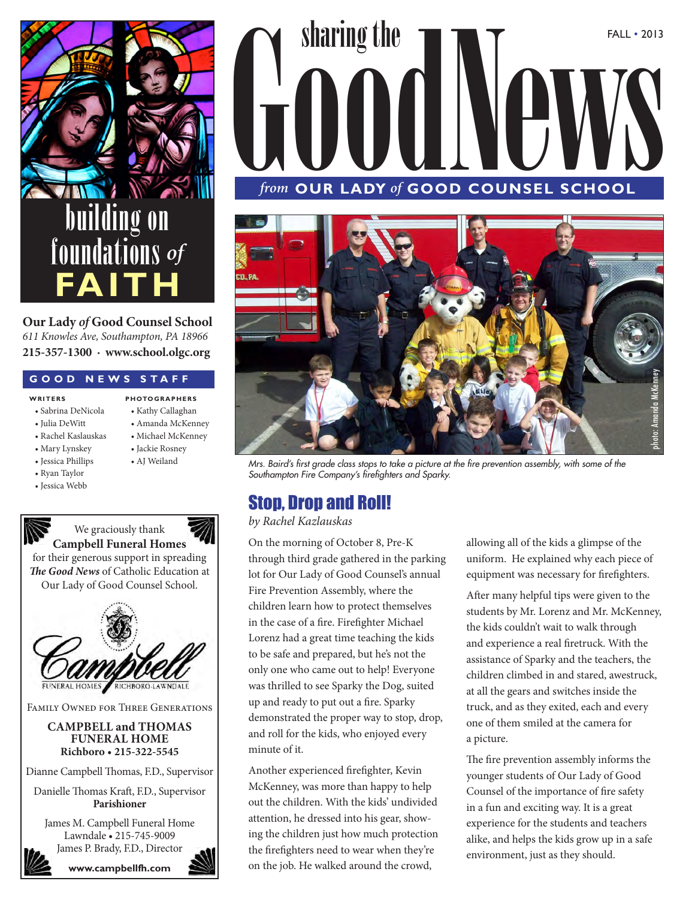

**Our Lady** *of* **Good Counsel School** *611 Knowles Ave, Southampton, PA 18966* **215-357-1300 · www.school.olgc.org**

#### **GOOD NEWS STAFF**

#### **w r i t e r s**

- Sabrina DeNicola
- Julia DeWitt
- Rachel Kaslauskas
- Mary Lynskey
- Jessica Phillips
- Ryan Taylor
- Jessica Webb
- 



**p hoto g r a p h e r s** • Kathy Callaghan • Amanda McKenney • Michael McKenney • Jackie Rosney

for their generous support in spreading *The Good News* of Catholic Education at Our Lady of Good Counsel School.



Family Owned for Three Generations

#### **CAMPBELL and THOMAS FUNERAL HOME Richboro • 215-322-5545**

Dianne Campbell Thomas, F.D., Supervisor

Danielle Thomas Kraft, F.D., Supervisor **Parishioner**

James M. Campbell Funeral Home Lawndale • 215-745-9009 James P. Brady, F.D., Director



# From OUR LADY of GOOD COUNSEL SCHOOL *from* **OUR LADY** *of* **GOOD COUNSEL SCHOOL**

sharing the



• AJ Weiland *Mrs. Baird's first grade class stops to take a picture at the fire prevention assembly, with some of the Southampton Fire Company's firefighters and Sparky.*

## Stop, Drop and Roll!

*by Rachel Kazlauskas*

On the morning of October 8, Pre-K through third grade gathered in the parking lot for Our Lady of Good Counsel's annual Fire Prevention Assembly, where the children learn how to protect themselves in the case of a fire. Firefighter Michael Lorenz had a great time teaching the kids to be safe and prepared, but he's not the only one who came out to help! Everyone was thrilled to see Sparky the Dog, suited up and ready to put out a fire. Sparky demonstrated the proper way to stop, drop, and roll for the kids, who enjoyed every minute of it.

Another experienced firefighter, Kevin McKenney, was more than happy to help out the children. With the kids' undivided attention, he dressed into his gear, showing the children just how much protection the firefighters need to wear when they're on the job. He walked around the crowd,

allowing all of the kids a glimpse of the uniform. He explained why each piece of equipment was necessary for firefighters.

FALL • 2013

After many helpful tips were given to the students by Mr. Lorenz and Mr. McKenney, the kids couldn't wait to walk through and experience a real firetruck. With the assistance of Sparky and the teachers, the children climbed in and stared, awestruck, at all the gears and switches inside the truck, and as they exited, each and every one of them smiled at the camera for a picture.

The fire prevention assembly informs the younger students of Our Lady of Good Counsel of the importance of fire safety in a fun and exciting way. It is a great experience for the students and teachers alike, and helps the kids grow up in a safe environment, just as they should.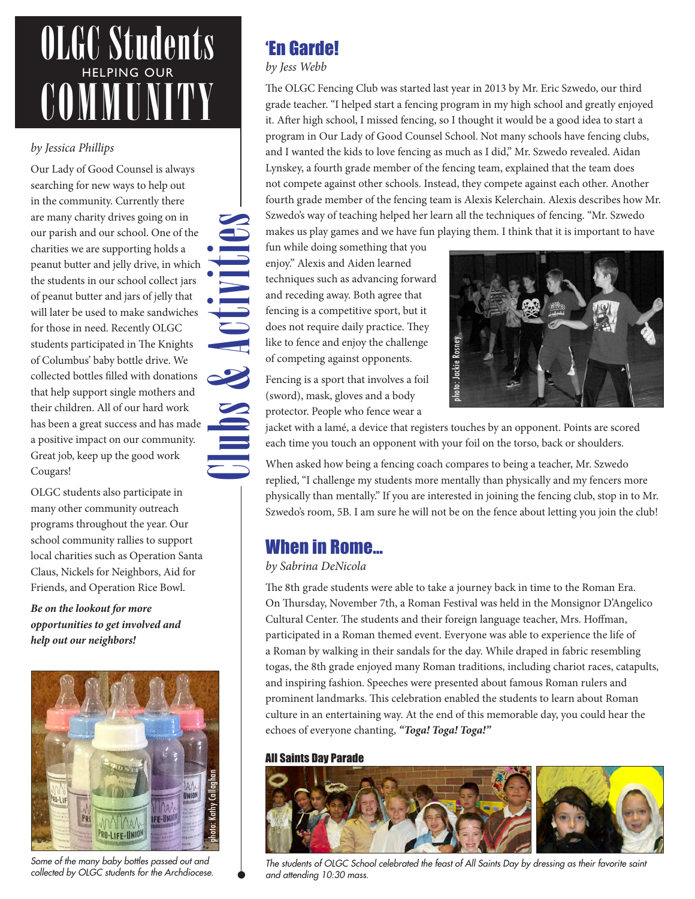## OLGC Students HELPING OUR COMMUNITY

#### *by Jessica Phillips*

Our Lady of Good Counsel is always searching for new ways to help out in the community. Currently there are many charity drives going on in our parish and our school. One of the charities we are supporting holds a peanut butter and jelly drive, in which the students in our school collect jars of peanut butter and jars of jelly that will later be used to make sandwiches for those in need. Recently OLGC students participated in The Knights of Columbus' baby bottle drive. We collected bottles filled with donations that help support single mothers and their children. All of our hard work has been a great success and has made a positive impact on our community. Great job, keep up the good work Cougars!

Clubs & Activities

OLGC students also participate in many other community outreach programs throughout the year. Our school community rallies to support local charities such as Operation Santa Claus, Nickels for Neighbors, Aid for Friends, and Operation Rice Bowl.

*Be on the lookout for more opportunities to get involved and help out our neighbors!* 



*Some of the many baby bottles passed out and* 

## 'En Garde!

#### *by Jess Webb*

The OLGC Fencing Club was started last year in 2013 by Mr. Eric Szwedo, our third grade teacher. "I helped start a fencing program in my high school and greatly enjoyed it. After high school, I missed fencing, so I thought it would be a good idea to start a program in Our Lady of Good Counsel School. Not many schools have fencing clubs, and I wanted the kids to love fencing as much as I did," Mr. Szwedo revealed. Aidan Lynskey, a fourth grade member of the fencing team, explained that the team does not compete against other schools. Instead, they compete against each other. Another fourth grade member of the fencing team is Alexis Kelerchain. Alexis describes how Mr. Szwedo's way of teaching helped her learn all the techniques of fencing. "Mr. Szwedo makes us play games and we have fun playing them. I think that it is important to have

fun while doing something that you enjoy." Alexis and Aiden learned techniques such as advancing forward and receding away. Both agree that fencing is a competitive sport, but it does not require daily practice. They like to fence and enjoy the challenge of competing against opponents.

Fencing is a sport that involves a foil (sword), mask, gloves and a body protector. People who fence wear a



jacket with a lamé, a device that registers touches by an opponent. Points are scored each time you touch an opponent with your foil on the torso, back or shoulders.

When asked how being a fencing coach compares to being a teacher, Mr. Szwedo replied, "I challenge my students more mentally than physically and my fencers more physically than mentally." If you are interested in joining the fencing club, stop in to Mr. Szwedo's room, 5B. I am sure he will not be on the fence about letting you join the club!

## When in Rome…

#### *by Sabrina DeNicola*

The 8th grade students were able to take a journey back in time to the Roman Era. On Thursday, November 7th, a Roman Festival was held in the Monsignor D'Angelico Cultural Center. The students and their foreign language teacher, Mrs. Hoffman, participated in a Roman themed event. Everyone was able to experience the life of a Roman by walking in their sandals for the day. While draped in fabric resembling togas, the 8th grade enjoyed many Roman traditions, including chariot races, catapults, and inspiring fashion. Speeches were presented about famous Roman rulers and prominent landmarks. This celebration enabled the students to learn about Roman culture in an entertaining way. At the end of this memorable day, you could hear the echoes of everyone chanting, *"Toga! Toga! Toga!"*

#### All Saints Day Parade



*The students of OLGC School celebrated the feast of All Saints Day by dressing as their favorite saint and attending 10:30 mass.*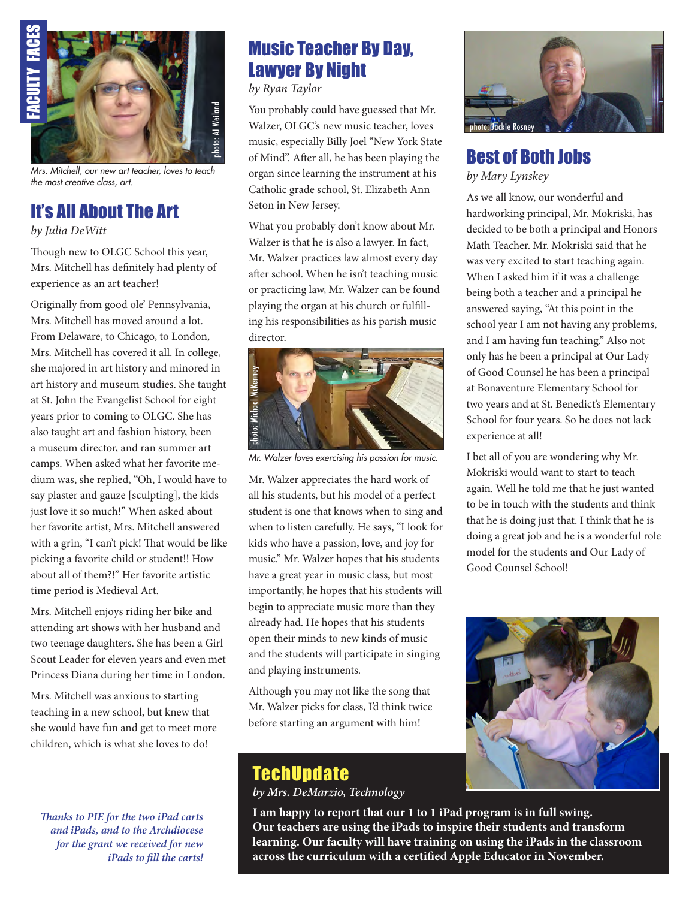

*Mrs. Mitchell, our new art teacher, loves to teach the most creative class, art.*

## It's All About The Art

*by Julia DeWitt*

Though new to OLGC School this year, Mrs. Mitchell has definitely had plenty of experience as an art teacher!

Originally from good ole' Pennsylvania, Mrs. Mitchell has moved around a lot. From Delaware, to Chicago, to London, Mrs. Mitchell has covered it all. In college, she majored in art history and minored in art history and museum studies. She taught at St. John the Evangelist School for eight years prior to coming to OLGC. She has also taught art and fashion history, been a museum director, and ran summer art camps. When asked what her favorite medium was, she replied, "Oh, I would have to say plaster and gauze [sculpting], the kids just love it so much!" When asked about her favorite artist, Mrs. Mitchell answered with a grin, "I can't pick! That would be like picking a favorite child or student!! How about all of them?!" Her favorite artistic time period is Medieval Art.

Mrs. Mitchell enjoys riding her bike and attending art shows with her husband and two teenage daughters. She has been a Girl Scout Leader for eleven years and even met Princess Diana during her time in London.

Mrs. Mitchell was anxious to starting teaching in a new school, but knew that she would have fun and get to meet more children, which is what she loves to do!

*Thanks to PIE for the two iPad carts and iPads, and to the Archdiocese for the grant we received for new iPads to fill the carts!* 

## Music Teacher By Day, Lawyer By Night

*by Ryan Taylor*

You probably could have guessed that Mr. Walzer, OLGC's new music teacher, loves music, especially Billy Joel "New York State of Mind". After all, he has been playing the organ since learning the instrument at his Catholic grade school, St. Elizabeth Ann Seton in New Jersey.

What you probably don't know about Mr. Walzer is that he is also a lawyer. In fact, Mr. Walzer practices law almost every day after school. When he isn't teaching music or practicing law, Mr. Walzer can be found playing the organ at his church or fulfilling his responsibilities as his parish music director.



Mr. Walzer appreciates the hard work of all his students, but his model of a perfect student is one that knows when to sing and when to listen carefully. He says, "I look for kids who have a passion, love, and joy for music." Mr. Walzer hopes that his students have a great year in music class, but most importantly, he hopes that his students will begin to appreciate music more than they already had. He hopes that his students open their minds to new kinds of music and the students will participate in singing and playing instruments.

Although you may not like the song that Mr. Walzer picks for class, I'd think twice before starting an argument with him!

## **TechUpdate**

*by Mrs. DeMarzio, Technology*



## Best of Both Jobs *by Mary Lynskey*

As we all know, our wonderful and hardworking principal, Mr. Mokriski, has decided to be both a principal and Honors Math Teacher. Mr. Mokriski said that he was very excited to start teaching again. When I asked him if it was a challenge being both a teacher and a principal he answered saying, "At this point in the school year I am not having any problems, and I am having fun teaching." Also not only has he been a principal at Our Lady of Good Counsel he has been a principal at Bonaventure Elementary School for two years and at St. Benedict's Elementary School for four years. So he does not lack experience at all!

I bet all of you are wondering why Mr. Mokriski would want to start to teach again. Well he told me that he just wanted to be in touch with the students and think that he is doing just that. I think that he is doing a great job and he is a wonderful role model for the students and Our Lady of Good Counsel School!



**I am happy to report that our 1 to 1 iPad program is in full swing. Our teachers are using the iPads to inspire their students and transform learning. Our faculty will have training on using the iPads in the classroom across the curriculum with a certified Apple Educator in November.**